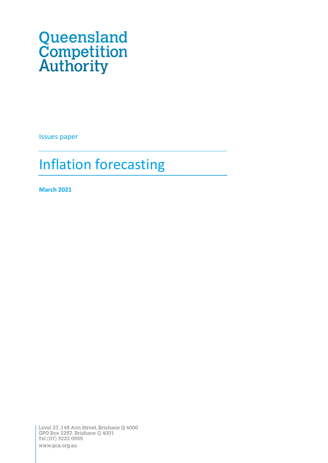# **Queensland** Competition Authority

Issues paper

# Inflation forecasting

**March 2021**

Level 27,145 Ann Street, Brisbane Q 4000 GPO Box 2257, Brisbane Q 4001 Tel (07) 3222 0555 www.qca.org.au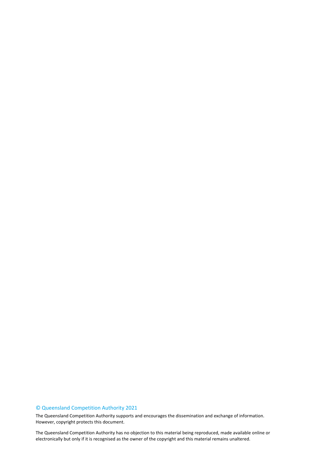### © Queensland Competition Authority 2021

The Queensland Competition Authority supports and encourages the dissemination and exchange of information. However, copyright protects this document.

2 electronically but only if it is recognised as the owner of the copyright and this material remains unaltered.The Queensland Competition Authority has no objection to this material being reproduced, made available online or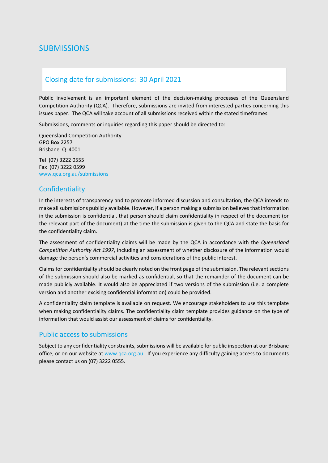# <span id="page-2-0"></span>**SUBMISSIONS**

# <span id="page-2-1"></span>Closing date for submissions: 30 April 2021

Public involvement is an important element of the decision-making processes of the Queensland Competition Authority (QCA). Therefore, submissions are invited from interested parties concerning this issues paper. The QCA will take account of all submissions received within the stated timeframes.

Submissions, comments or inquiries regarding this paper should be directed to:

Queensland Competition Authority GPO Box 2257 Brisbane Q 4001

Tel (07) 3222 0555 Fax (07) 3222 0599 www.qca.org.au/submissions

# <span id="page-2-2"></span>**Confidentiality**

In the interests of transparency and to promote informed discussion and consultation, the QCA intends to make all submissions publicly available. However, if a person making a submission believes that information in the submission is confidential, that person should claim confidentiality in respect of the document (or the relevant part of the document) at the time the submission is given to the QCA and state the basis for the confidentiality claim.

The assessment of confidentiality claims will be made by the QCA in accordance with the *Queensland Competition Authority Act 1997*, including an assessment of whether disclosure of the information would damage the person's commercial activities and considerations of the public interest.

Claims for confidentiality should be clearly noted on the front page of the submission. The relevant sections of the submission should also be marked as confidential, so that the remainder of the document can be made publicly available. It would also be appreciated if two versions of the submission (i.e. a complete version and another excising confidential information) could be provided.

A confidentiality claim template is available on request. We encourage stakeholders to use this template when making confidentiality claims. The confidentiality claim template provides guidance on the type of information that would assist our assessment of claims for confidentiality.

### <span id="page-2-3"></span>Public access to submissions

Subject to any confidentiality constraints, submissions will be available for public inspection at our Brisbane office, or on our website at [www.qca.org.au.](http://www.qca.org.au/) If you experience any difficulty gaining access to documents please contact us on (07) 3222 0555.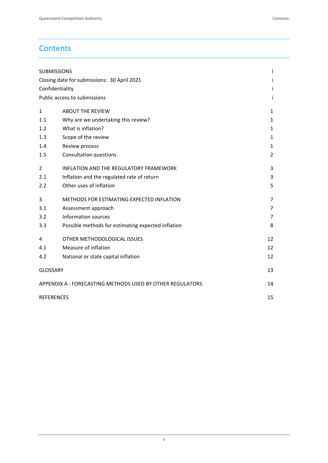# **Contents**

| <b>SUBMISSIONS</b>                                        |                                                    |    |  |
|-----------------------------------------------------------|----------------------------------------------------|----|--|
| Closing date for submissions: 30 April 2021               |                                                    |    |  |
|                                                           | Confidentiality                                    |    |  |
|                                                           | Public access to submissions                       |    |  |
| $\mathbf{1}$                                              | <b>ABOUT THE REVIEW</b>                            | 1  |  |
| 1.1                                                       | Why are we undertaking this review?                | 1  |  |
| 1.2                                                       | What is inflation?                                 | 1  |  |
| 1.3                                                       | Scope of the review                                | 1  |  |
| 1.4                                                       | Review process                                     | 1  |  |
| 1.5                                                       | Consultation questions                             | 2  |  |
| 2                                                         | <b>INFLATION AND THE REGULATORY FRAMEWORK</b>      | 3  |  |
| 2.1                                                       | Inflation and the regulated rate of return         | 3  |  |
| 2.2                                                       | Other uses of inflation                            | 5  |  |
| 3                                                         | METHODS FOR ESTIMATING EXPECTED INFLATION          | 7  |  |
| 3.1                                                       | Assessment approach                                | 7  |  |
| 3.2                                                       | Information sources                                | 7  |  |
| 3.3                                                       | Possible methods for estimating expected inflation | 8  |  |
| 4                                                         | OTHER METHODOLOGICAL ISSUES                        | 12 |  |
| 4.1                                                       | Measure of inflation                               | 12 |  |
| 4.2                                                       | National or state capital inflation                | 12 |  |
| <b>GLOSSARY</b>                                           |                                                    |    |  |
| APPENDIX A : FORECASTING METHODS USED BY OTHER REGULATORS |                                                    | 14 |  |
| <b>REFERENCES</b>                                         |                                                    |    |  |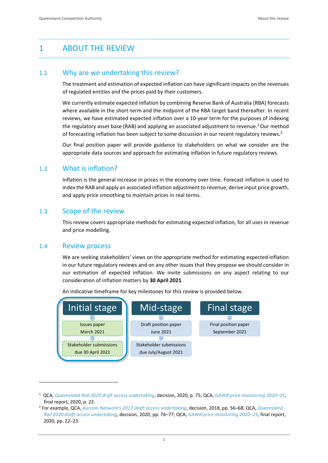# <span id="page-4-0"></span>1 ABOUT THE REVIEW

### <span id="page-4-1"></span>1.1 Why are we undertaking this review?

The treatment and estimation of expected inflation can have significant impacts on the revenues of regulated entities and the prices paid by their customers.

We currently estimate expected inflation by combining Reserve Bank of Australia (RBA) forecasts where available in the short-term and the midpoint of the RBA target band thereafter. In recent reviews, we have estimated expected inflation over a 10-year term for the purposes of indexing the regulatory asset base (RAB) and applying an associated adjustment to revenue. <sup>1</sup>Our method of forecasting inflation has been subject to some discussion in our recent regulatory reviews.<sup>2</sup>

Our final position paper will provide guidance to stakeholders on what we consider are the appropriate data sources and approach for estimating inflation in future regulatory reviews.

### <span id="page-4-2"></span>1.2 What is inflation?

Inflation is the general increase in prices in the economy over time. Forecast inflation is used to index the RAB and apply an associated inflation adjustment to revenue, derive input price growth, and apply price smoothing to maintain prices in real terms.

### <span id="page-4-3"></span>1.3 Scope of the review

This review covers appropriate methods for estimating expected inflation, for all uses in revenue and price modelling.

### <span id="page-4-4"></span>1.4 Review process

We are seeking stakeholders' views on the appropriate method for estimating expected inflation in our future regulatory reviews and on any other issues that they propose we should consider in our estimation of expected inflation. We invite submissions on any aspect relating to our consideration of inflation matters by **30 April 2021**.



An indicative timeframe for key milestones for this review is provided below.

<sup>1</sup> QCA, *[Queensland Rail 2020 draft access undertaking](https://www.qca.org.au/wp-content/uploads/2019/05/qca-qr-2020-dau-decision-and-secondary-undertaking-notice.pdf)*, decision, 2020, p. 75; QCA, *[GAWB price monitoring 2020](https://www.qca.org.au/wp-content/uploads/2020/06/part-a-overview-final.pdf)–25*, final report, 2020, p. 22.

<sup>2</sup> For example, QCA, *[Aurizon Network's 2017 draft access undertaking](https://www.qca.org.au/wp-content/uploads/2019/05/34327_Final-decision-1.pdf)*, decision, 2018, pp. 56–68; QCA, *[Queensland](https://www.qca.org.au/wp-content/uploads/2019/05/qca-qr-2020-dau-decision-and-secondary-undertaking-notice.pdf)  [Rail 2020 draft access undertaking,](https://www.qca.org.au/wp-content/uploads/2019/05/qca-qr-2020-dau-decision-and-secondary-undertaking-notice.pdf)* decision, 2020, pp. 76–77; QCA, *[GAWB price monitoring 2020](https://www.qca.org.au/wp-content/uploads/2020/06/part-a-overview-final.pdf)–25*, final report, 2020, pp. 22–23.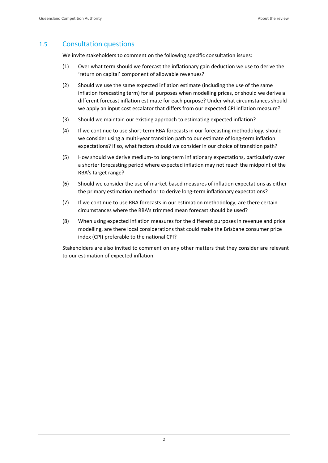# <span id="page-5-0"></span>1.5 Consultation questions

We invite stakeholders to comment on the following specific consultation issues:

- (1) Over what term should we forecast the inflationary gain deduction we use to derive the 'return on capital' component of allowable revenues?
- (2) Should we use the same expected inflation estimate (including the use of the same inflation forecasting term) for all purposes when modelling prices, or should we derive a different forecast inflation estimate for each purpose? Under what circumstances should we apply an input cost escalator that differs from our expected CPI inflation measure?
- (3) Should we maintain our existing approach to estimating expected inflation?
- (4) If we continue to use short-term RBA forecasts in our forecasting methodology, should we consider using a multi-year transition path to our estimate of long-term inflation expectations? If so, what factors should we consider in our choice of transition path?
- (5) How should we derive medium- to long-term inflationary expectations, particularly over a shorter forecasting period where expected inflation may not reach the midpoint of the RBA's target range?
- (6) Should we consider the use of market-based measures of inflation expectations as either the primary estimation method or to derive long-term inflationary expectations?
- (7) If we continue to use RBA forecasts in our estimation methodology, are there certain circumstances where the RBA's trimmed mean forecast should be used?
- (8) When using expected inflation measures for the different purposes in revenue and price modelling, are there local considerations that could make the Brisbane consumer price index (CPI) preferable to the national CPI?

Stakeholders are also invited to comment on any other matters that they consider are relevant to our estimation of expected inflation.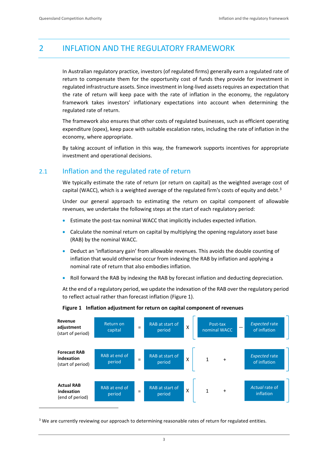# <span id="page-6-0"></span>2 INFLATION AND THE REGULATORY FRAMEWORK

In Australian regulatory practice, investors (of regulated firms) generally earn a regulated rate of return to compensate them for the opportunity cost of funds they provide for investment in regulated infrastructure assets. Since investment in long-lived assets requires an expectation that the rate of return will keep pace with the rate of inflation in the economy, the regulatory framework takes investors' inflationary expectations into account when determining the regulated rate of return.

The framework also ensures that other costs of regulated businesses, such as efficient operating expenditure (opex), keep pace with suitable escalation rates, including the rate of inflation in the economy, where appropriate.

By taking account of inflation in this way, the framework supports incentives for appropriate investment and operational decisions.

# <span id="page-6-1"></span>2.1 Inflation and the regulated rate of return

We typically estimate the rate of return (or return on capital) as the weighted average cost of capital (WACC), which is a weighted average of the regulated firm's costs of equity and debt.<sup>3</sup>

Under our general approach to estimating the return on capital component of allowable revenues, we undertake the following steps at the start of each regulatory period:

- Estimate the post-tax nominal WACC that implicitly includes expected inflation.
- Calculate the nominal return on capital by multiplying the opening regulatory asset base (RAB) by the nominal WACC.
- Deduct an 'inflationary gain' from allowable revenues. This avoids the double counting of inflation that would otherwise occur from indexing the RAB by inflation and applying a nominal rate of return that also embodies inflation.
- Roll forward the RAB by indexing the RAB by forecast inflation and deducting depreciation.

At the end of a regulatory period, we update the indexation of the RAB over the regulatory period to reflect actual rather than forecast inflation (Figure 1).



#### **Figure 1 Inflation adjustment for return on capital component of revenues**

<sup>&</sup>lt;sup>3</sup> We are currently reviewing our approach to determining reasonable rates of return for regulated entities.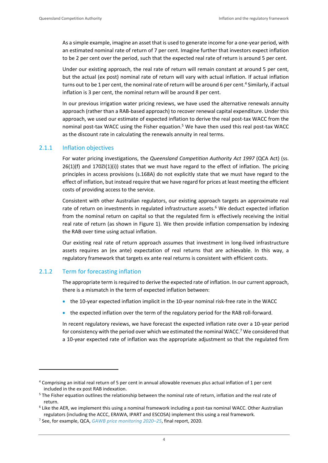As a simple example, imagine an asset that is used to generate income for a one-year period, with an estimated nominal rate of return of 7 per cent. Imagine further that investors expect inflation to be 2 per cent over the period, such that the expected real rate of return is around 5 per cent.

Under our existing approach, the real rate of return will remain constant at around 5 per cent, but the actual (ex post) nominal rate of return will vary with actual inflation. If actual inflation turns out to be 1 per cent, the nominal rate of return will be around 6 per cent.<sup>4</sup> Similarly, if actual inflation is 3 per cent, the nominal return will be around 8 per cent.

In our previous irrigation water pricing reviews, we have used the alternative renewals annuity approach (rather than a RAB-based approach) to recover renewal capital expenditure. Under this approach, we used our estimate of expected inflation to derive the real post-tax WACC from the nominal post-tax WACC using the Fisher equation.<sup>5</sup> We have then used this real post-tax WACC as the discount rate in calculating the renewals annuity in real terms.

#### 2.1.1 Inflation objectives

For water pricing investigations, the *Queensland Competition Authority Act 1997* (QCA Act) (ss. 26(1)(f) and 170ZI(1)(i)) states that we must have regard to the effect of inflation. The pricing principles in access provisions (s.168A) do not explicitly state that we must have regard to the effect of inflation, but instead require that we have regard for prices at least meeting the efficient costs of providing access to the service.

Consistent with other Australian regulators, our existing approach targets an approximate real rate of return on investments in regulated infrastructure assets.<sup>6</sup> We deduct expected inflation from the nominal return on capital so that the regulated firm is effectively receiving the initial real rate of return (as shown in Figure 1). We then provide inflation compensation by indexing the RAB over time using actual inflation.

Our existing real rate of return approach assumes that investment in long-lived infrastructure assets requires an (ex ante) expectation of real returns that are achievable. In this way, a regulatory framework that targets ex ante real returns is consistent with efficient costs.

#### 2.1.2 Term for forecasting inflation

The appropriate term is required to derive the expected rate of inflation. In our current approach, there is a mismatch in the term of expected inflation between:

- the 10-year expected inflation implicit in the 10-year nominal risk-free rate in the WACC
- the expected inflation over the term of the regulatory period for the RAB roll-forward.

In recent regulatory reviews, we have forecast the expected inflation rate over a 10-year period for consistency with the period over which we estimated the nominal WACC.<sup>7</sup> We considered that a 10-year expected rate of inflation was the appropriate adjustment so that the regulated firm

<sup>4</sup> Comprising an initial real return of 5 per cent in annual allowable revenues plus actual inflation of 1 per cent included in the ex post RAB indexation.

<sup>&</sup>lt;sup>5</sup> The Fisher equation outlines the relationship between the nominal rate of return, inflation and the real rate of return.

<sup>6</sup> Like the AER, we implement this using a nominal framework including a post-tax nominal WACC. Other Australian regulators (including the ACCC, ERAWA, IPART and ESCOSA) implement this using a real framework.

<sup>7</sup> See, for example, QCA, *[GAWB price monitoring 2020](https://www.qca.org.au/wp-content/uploads/2020/06/part-a-overview-final.pdf)–25*, final report, 2020.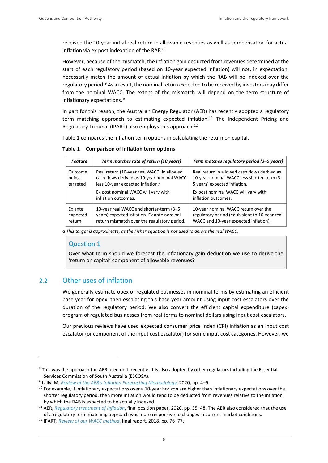received the 10-year initial real return in allowable revenues as well as compensation for actual inflation via ex post indexation of the RAB.<sup>8</sup>

However, because of the mismatch, the inflation gain deducted from revenues determined at the start of each regulatory period (based on 10-year expected inflation) will not, in expectation, necessarily match the amount of actual inflation by which the RAB will be indexed over the regulatory period.<sup>9</sup> As a result, the nominal return expected to be received by investors may differ from the nominal WACC. The extent of the mismatch will depend on the term structure of inflationary expectations.<sup>10</sup>

In part for this reason, the Australian Energy Regulator (AER) has recently adopted a regulatory term matching approach to estimating expected inflation.<sup>11</sup> The Independent Pricing and Regulatory Tribunal (IPART) also employs this approach.<sup>12</sup>

Table 1 compares the inflation term options in calculating the return on capital.

**Table 1 Comparison of inflation term options**

| <b>Feature</b> | Term matches rate of return (10 years)                     | Term matches regulatory period (3-5 years)                 |
|----------------|------------------------------------------------------------|------------------------------------------------------------|
| Outcome        | Real return (10-year real WACC) in allowed                 | Real return in allowed cash flows derived as               |
| being          | cash flows derived as 10-year nominal WACC                 | 10-year nominal WACC less shorter-term (3-                 |
| targeted       | less 10-year expected inflation. <sup>a</sup>              | 5 years) expected inflation.                               |
|                | Ex post nominal WACC will vary with<br>inflation outcomes. | Ex post nominal WACC will vary with<br>inflation outcomes. |
| Ex ante        | 10-year real WACC and shorter-term (3-5                    | 10-year nominal WACC return over the                       |
| expected       | years) expected inflation. Ex ante nominal                 | regulatory period (equivalent to 10-year real              |
| return         | return mismatch over the regulatory period.                | WACC and 10-year expected inflation).                      |

*a This target is approximate, as the Fisher equation is not used to derive the real WACC.*

#### Question 1

Over what term should we forecast the inflationary gain deduction we use to derive the 'return on capital' component of allowable revenues?

### <span id="page-8-0"></span>2.2 Other uses of inflation

We generally estimate opex of regulated businesses in nominal terms by estimating an efficient base year for opex, then escalating this base year amount using input cost escalators over the duration of the regulatory period. We also convert the efficient capital expenditure (capex) program of regulated businesses from real terms to nominal dollars using input cost escalators.

Our previous reviews have used expected consumer price index (CPI) inflation as an input cost escalator (or component of the input cost escalator) for some input cost categories. However, we

<sup>&</sup>lt;sup>8</sup> This was the approach the AER used until recently. It is also adopted by other regulators including the Essential Services Commission of South Australia (ESCOSA).

<sup>9</sup> Lally, M, *[Review of the AER's Inflation Forecasting Methodology](https://www.aer.gov.au/system/files/Dr%20Martin%20Lally%20-%20Review%20of%20the%20AERs%20inflation%20forecasting%20methodology%20-%208%20July%202020.pdf)*, 2020, pp. 4–9.

 $10$  For example, if inflationary expectations over a 10-year horizon are higher than inflationary expectations over the shorter regulatory period, then more inflation would tend to be deducted from revenues relative to the inflation by which the RAB is expected to be actually indexed.

<sup>11</sup> AER, *[Regulatory treatment of inflation](https://www.aer.gov.au/system/files/AER%20-%20Final%20position%20paper%20-%20Regulatory%20treatment%20of%20inflation%20-%20December%202020.pdf)*, final position paper, 2020, pp. 35–48. The AER also considered that the use of a regulatory term matching approach was more responsive to changes in current market conditions.

<sup>12</sup> IPART, *[Review of our WACC method](https://www.ipart.nsw.gov.au/files/sharedassets/website/shared-files/investigation-administrative-legislative-requirements-sea-wacc-methodology-2017/final-report-review-of-our-wacc-method-february-2018.pdf#:~:text=Since%20mid-2017,%20the%20Independent%20Pricing%20and%20Regulatory%20Tribunal,the%20aim%20of%20improving%20its%20accuracy%20and%20predictability.)*, final report, 2018, pp. 76–77.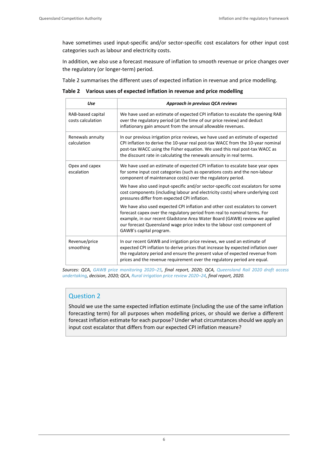have sometimes used input-specific and/or sector-specific cost escalators for other input cost categories such as labour and electricity costs.

In addition, we also use a forecast measure of inflation to smooth revenue or price changes over the regulatory (or longer-term) period.

Table 2 summarises the different uses of expected inflation in revenue and price modelling.

**Table 2 Various uses of expected inflation in revenue and price modelling**

| Use                                    | Approach in previous QCA reviews                                                                                                                                                                                                                                                                                                                |
|----------------------------------------|-------------------------------------------------------------------------------------------------------------------------------------------------------------------------------------------------------------------------------------------------------------------------------------------------------------------------------------------------|
| RAB-based capital<br>costs calculation | We have used an estimate of expected CPI inflation to escalate the opening RAB<br>over the regulatory period (at the time of our price review) and deduct<br>inflationary gain amount from the annual allowable revenues.                                                                                                                       |
| Renewals annuity<br>calculation        | In our previous irrigation price reviews, we have used an estimate of expected<br>CPI inflation to derive the 10-year real post-tax WACC from the 10-year nominal<br>post-tax WACC using the Fisher equation. We used this real post-tax WACC as<br>the discount rate in calculating the renewals annuity in real terms.                        |
| Opex and capex<br>escalation           | We have used an estimate of expected CPI inflation to escalate base year opex<br>for some input cost categories (such as operations costs and the non-labour<br>component of maintenance costs) over the regulatory period.                                                                                                                     |
|                                        | We have also used input-specific and/or sector-specific cost escalators for some<br>cost components (including labour and electricity costs) where underlying cost<br>pressures differ from expected CPI inflation.                                                                                                                             |
|                                        | We have also used expected CPI inflation and other cost escalators to convert<br>forecast capex over the regulatory period from real to nominal terms. For<br>example, in our recent Gladstone Area Water Board (GAWB) review we applied<br>our forecast Queensland wage price index to the labour cost component of<br>GAWB's capital program. |
| Revenue/price<br>smoothing             | In our recent GAWB and irrigation price reviews, we used an estimate of<br>expected CPI inflation to derive prices that increase by expected inflation over<br>the regulatory period and ensure the present value of expected revenue from<br>prices and the revenue requirement over the regulatory period are equal.                          |

*Sources: QCA, [GAWB price monitoring 2020](https://www.qca.org.au/wp-content/uploads/2020/06/part-a-overview-final.pdf)–25, final report, 2020; QCA, [Queensland Rail 2020 draft access](https://www.qca.org.au/wp-content/uploads/2019/05/qca-qr-2020-dau-decision-and-secondary-undertaking-notice.pdf)  [undertaking,](https://www.qca.org.au/wp-content/uploads/2019/05/qca-qr-2020-dau-decision-and-secondary-undertaking-notice.pdf) decision, 2020; QCA[, Rural irrigation price review 2020](https://www.qca.org.au/project/rural-water/irrigation-price-investigations/)–24, final report, 2020.*

### Question 2

Should we use the same expected inflation estimate (including the use of the same inflation forecasting term) for all purposes when modelling prices, or should we derive a different forecast inflation estimate for each purpose? Under what circumstances should we apply an input cost escalator that differs from our expected CPI inflation measure?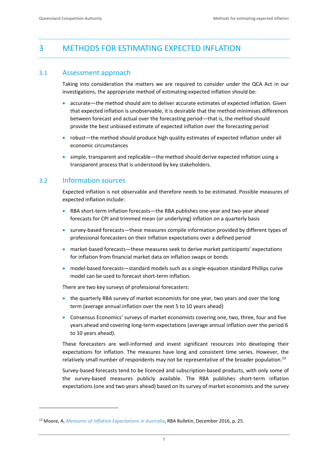# <span id="page-10-0"></span>3 METHODS FOR ESTIMATING EXPECTED INFLATION

## <span id="page-10-1"></span>3.1 Assessment approach

Taking into consideration the matters we are required to consider under the QCA Act in our investigations, the appropriate method of estimating expected inflation should be:

- accurate—the method should aim to deliver accurate estimates of expected inflation. Given that expected inflation is unobservable, it is desirable that the method minimises differences between forecast and actual over the forecasting period—that is, the method should provide the best unbiased estimate of expected inflation over the forecasting period
- robust—the method should produce high quality estimates of expected inflation under all economic circumstances
- simple, transparent and replicable—the method should derive expected inflation using a transparent process that is understood by key stakeholders.

# <span id="page-10-2"></span>3.2 Information sources

Expected inflation is not observable and therefore needs to be estimated. Possible measures of expected inflation include:

- RBA short-term inflation forecasts—the RBA publishes one-year and two-year ahead forecasts for CPI and trimmed mean (or underlying) inflation on a quarterly basis
- survey-based forecasts—these measures compile information provided by different types of professional forecasters on their inflation expectations over a defined period
- market-based forecasts—these measures seek to derive market participants' expectations for inflation from financial market data on inflation swaps or bonds
- model-based forecasts—standard models such as a single-equation standard Phillips curve model can be used to forecast short-term inflation.

There are two key surveys of professional forecasters:

- the quarterly RBA survey of market economists for one year, two years and over the long term (average annual inflation over the next 5 to 10 years ahead)
- Consensus Economics' surveys of market economists covering one, two, three, four and five years ahead and covering long-term expectations (average annual inflation over the period 6 to 10 years ahead).

These forecasters are well-informed and invest significant resources into developing their expectations for inflation. The measures have long and consistent time series. However, the relatively small number of respondents may not be representative of the broader population.<sup>13</sup>

Survey-based forecasts tend to be licenced and subscription-based products, with only some of the survey-based measures publicly available. The RBA publishes short-term inflation expectations (one and two years ahead) based on its survey of market economists and the survey

<sup>13</sup> Moore, A, *[Measures of Inflation Expectations in Australia](https://www.rba.gov.au/publications/bulletin/2016/dec/pdf/rba-bulletin-2016-12-measures-of-inflation-expectations-in-australia.pdf)*, RBA Bulletin, December 2016, p. 25.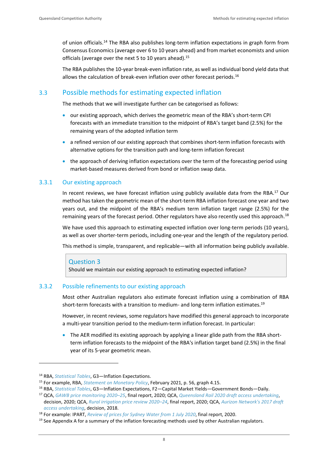of union officials.<sup>14</sup> The RBA also publishes long-term inflation expectations in graph form from Consensus Economics (average over 6 to 10 years ahead) and from market economists and union officials (average over the next 5 to 10 years ahead).<sup>15</sup>

The RBA publishes the 10-year break-even inflation rate, as well as individual bond yield data that allows the calculation of break-even inflation over other forecast periods.<sup>16</sup>

# <span id="page-11-0"></span>3.3 Possible methods for estimating expected inflation

The methods that we will investigate further can be categorised as follows:

- our existing approach, which derives the geometric mean of the RBA's short-term CPI forecasts with an immediate transition to the midpoint of RBA's target band (2.5%) for the remaining years of the adopted inflation term
- a refined version of our existing approach that combines short-term inflation forecasts with alternative options for the transition path and long-term inflation forecast
- the approach of deriving inflation expectations over the term of the forecasting period using market-based measures derived from bond or inflation swap data.

### 3.3.1 Our existing approach

In recent reviews, we have forecast inflation using publicly available data from the RBA.<sup>17</sup> Our method has taken the geometric mean of the short-term RBA inflation forecast one year and two years out, and the midpoint of the RBA's medium term inflation target range (2.5%) for the remaining years of the forecast period. Other regulators have also recently used this approach.<sup>18</sup>

We have used this approach to estimating expected inflation over long-term periods (10 years), as well as over shorter-term periods, including one-year and the length of the regulatory period.

This method is simple, transparent, and replicable—with all information being publicly available.

#### Question 3

Should we maintain our existing approach to estimating expected inflation?

#### 3.3.2 Possible refinements to our existing approach

Most other Australian regulators also estimate forecast inflation using a combination of RBA short-term forecasts with a transition to medium- and long-term inflation estimates.<sup>19</sup>

However, in recent reviews, some regulators have modified this general approach to incorporate a multi-year transition period to the medium-term inflation forecast. In particular:

• The AER modified its existing approach by applying a linear glide path from the RBA shortterm inflation forecasts to the midpoint of the RBA's inflation target band (2.5%) in the final year of its 5-year geometric mean.

<sup>14</sup> RBA, *[Statistical Tables](https://www.rba.gov.au/statistics/tables/index.html)*, G3—Inflation Expectations.

<sup>15</sup> For example, RBA, *[Statement on Monetary Policy](https://www.rba.gov.au/publications/smp/2021/feb/pdf/statement-on-monetary-policy-2021-02.pdf)*, February 2021, p. 56, graph 4.15.

<sup>16</sup> RBA, *[Statistical Tables](https://www.rba.gov.au/statistics/tables/index.html)*, G3—Inflation Expectations, F2—Capital Market Yields—Government Bonds—Daily.

<sup>17</sup> QCA, *[GAWB price monitoring 2020](https://www.qca.org.au/wp-content/uploads/2020/06/part-a-overview-final.pdf)–25*, final report, 2020; QCA, *[Queensland Rail 2020 draft access undertaking](https://www.qca.org.au/wp-content/uploads/2019/05/qca-qr-2020-dau-decision-and-secondary-undertaking-notice.pdf)*, decision, 2020; QCA, *[Rural irrigation price review 2020](https://www.qca.org.au/project/rural-water/irrigation-price-investigations/)–24*, final report, 2020; QCA, *[Aurizon Network's 2017 draft](https://www.qca.org.au/wp-content/uploads/2019/05/34327_Final-decision-1.pdf)  [access undertaking](https://www.qca.org.au/wp-content/uploads/2019/05/34327_Final-decision-1.pdf)*, decision, 2018.

<sup>18</sup> For example: IPART, *[Review of prices for Sydney Water from 1 July 2020](https://www.ipart.nsw.gov.au/files/sharedassets/website/shared-files/pricing-reviews-water-services-metro-water-prices-for-sydney-water-corporation-from-1-july-2020/legislative-requirements-prices-for-sydney-water-corporation-from-1-july-2020/final-report-review-of-prices-for-sydney-water-june-2020.pdf)*, final report, 2020.

 $19$  See Appendix A for a summary of the inflation forecasting methods used by other Australian regulators.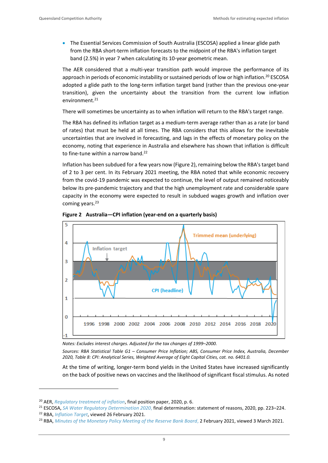• The Essential Services Commission of South Australia (ESCOSA) applied a linear glide path from the RBA short-term inflation forecasts to the midpoint of the RBA's inflation target band (2.5%) in year 7 when calculating its 10-year geometric mean.

The AER considered that a multi-year transition path would improve the performance of its approach in periods of economic instability or sustained periods of low or high inflation.<sup>20</sup> ESCOSA adopted a glide path to the long-term inflation target band (rather than the previous one-year transition), given the uncertainty about the transition from the current low inflation  $environment<sup>21</sup>$ 

There will sometimes be uncertainty as to when inflation will return to the RBA's target range.

The RBA has defined its inflation target as a medium-term average rather than as a rate (or band of rates) that must be held at all times. The RBA considers that this allows for the inevitable uncertainties that are involved in forecasting, and lags in the effects of monetary policy on the economy, noting that experience in Australia and elsewhere has shown that inflation is difficult to fine-tune within a narrow band.<sup>22</sup>

Inflation has been subdued for a few years now (Figure 2), remaining below the RBA's target band of 2 to 3 per cent. In its February 2021 meeting, the RBA noted that while economic recovery from the covid-19 pandemic was expected to continue, the level of output remained noticeably below its pre-pandemic trajectory and that the high unemployment rate and considerable spare capacity in the economy were expected to result in subdued wages growth and inflation over coming years.<sup>23</sup>





*Notes: Excludes interest charges. Adjusted for the tax changes of 1999–2000.*

*Sources: RBA Statistical Table G1 – Consumer Price Inflation; ABS, Consumer Price Index, Australia, December 2020, Table 8: CPI: Analytical Series, Weighted Average of Eight Capital Cities, cat. no. 6401.0.*

At the time of writing, longer-term bond yields in the United States have increased significantly on the back of positive news on vaccines and the likelihood of significant fiscal stimulus. As noted

<sup>20</sup> AER, *[Regulatory treatment of inflation](https://www.aer.gov.au/system/files/AER%20-%20Final%20position%20paper%20-%20Regulatory%20treatment%20of%20inflation%20-%20December%202020.pdf)*, final position paper, 2020, p. 6.

<sup>21</sup> ESCOSA, *[SA Water Regulatory Determination 2020](https://www.escosa.sa.gov.au/ArticleDocuments/21489/20200611-Water-SAWRD20-FinalDetermination-StatementOfReasons.pdf.aspx?Embed=Y)*, final determination: statement of reasons, 2020, pp. 223–224.

<sup>22</sup> RBA, *[Inflation Target](https://www.rba.gov.au/monetary-policy/inflation-target.html)*, viewed 26 February 2021.

<sup>&</sup>lt;sup>23</sup> RBA, *[Minutes of the Monetary Policy Meeting of the Reserve Bank Board](https://www.rba.gov.au/monetary-policy/rba-board-minutes/2021/2021-02-02.html)*, 2 February 2021, viewed 3 March 2021.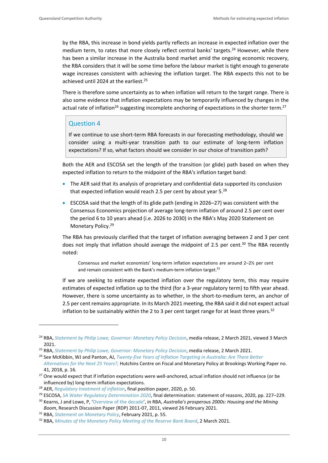by the RBA, this increase in bond yields partly reflects an increase in expected inflation over the medium term, to rates that more closely reflect central banks' targets.<sup>24</sup> However, while there has been a similar increase in the Australia bond market amid the ongoing economic recovery, the RBA considers that it will be some time before the labour market is tight enough to generate wage increases consistent with achieving the inflation target. The RBA expects this not to be achieved until 2024 at the earliest.<sup>25</sup>

There is therefore some uncertainty as to when inflation will return to the target range. There is also some evidence that inflation expectations may be temporarily influenced by changes in the actual rate of inflation<sup>26</sup> suggesting incomplete anchoring of expectations in the shorter term.<sup>27</sup>

### Question 4

If we continue to use short-term RBA forecasts in our forecasting methodology, should we consider using a multi-year transition path to our estimate of long-term inflation expectations? If so, what factors should we consider in our choice of transition path?

Both the AER and ESCOSA set the length of the transition (or glide) path based on when they expected inflation to return to the midpoint of the RBA's inflation target band:

- The AER said that its analysis of proprietary and confidential data supported its conclusion that expected inflation would reach 2.5 per cent by about year 5. $^{28}$
- ESCOSA said that the length of its glide path (ending in 2026–27) was consistent with the Consensus Economics projection of average long-term inflation of around 2.5 per cent over the period 6 to 10 years ahead (i.e. 2026 to 2030) in the RBA's May 2020 Statement on Monetary Policy.<sup>29</sup>

The RBA has previously clarified that the target of inflation averaging between 2 and 3 per cent does not imply that inflation should average the midpoint of 2.5 per cent.<sup>30</sup> The RBA recently noted:

Consensus and market economists' long-term inflation expectations are around 2–2½ per cent and remain consistent with the Bank's medium-term inflation target. $31$ 

If we are seeking to estimate expected inflation over the regulatory term, this may require estimates of expected inflation up to the third (for a 3-year regulatory term) to fifth year ahead. However, there is some uncertainty as to whether, in the short-to-medium term, an anchor of 2.5 per cent remains appropriate. In its March 2021 meeting, the RBA said it did not expect actual inflation to be sustainably within the 2 to 3 per cent target range for at least three years.<sup>32</sup>

<sup>&</sup>lt;sup>24</sup> RBA, *[Statement by Philip Lowe, Governor: Monetary Policy Decision](https://www.rba.gov.au/media-releases/2021/mr-21-03.html)*, media release, 2 March 2021, viewed 3 March 2021.

<sup>25</sup> RBA, *[Statement by Philip Lowe, Governor:](https://www.rba.gov.au/media-releases/2021/mr-21-03.html) Monetary Policy Decision*, media release, 2 March 2021.

<sup>26</sup> See McKibbin, WJ and Panton, AJ, *[Twenty-five Years of Inflation Targeting in Australia: Are There Better](https://www.brookings.edu/wp-content/uploads/2018/07/WP41.pdf)* 

*[Alternatives for the Next 25 Years?,](https://www.brookings.edu/wp-content/uploads/2018/07/WP41.pdf)* Hutchins Centre on Fiscal and Monetary Policy at Brookings Working Paper no. 41, 2018, p. 16.

<sup>&</sup>lt;sup>27</sup> One would expect that if inflation expectations were well-anchored, actual inflation should not influence (or be influenced by) long-term inflation expectations.

<sup>28</sup> AER, *[Regulatory treatment of inflation](https://www.aer.gov.au/system/files/AER%20-%20Final%20position%20paper%20-%20Regulatory%20treatment%20of%20inflation%20-%20December%202020.pdf)*, final position paper, 2020, p. 50.

<sup>29</sup> ESCOSA, *[SA Water Regulatory Determination 2020](https://www.escosa.sa.gov.au/ArticleDocuments/21489/20200611-Water-SAWRD20-FinalDetermination-StatementOfReasons.pdf.aspx?Embed=Y)*, final determination: statement of reasons, 2020, pp. 227–229.

<sup>30</sup> Kearns, J and Lowe, P, '[Overview of the decade](https://www.rba.gov.au/publications/rdp/2011/2011-07/overview-decade.html)', in RBA, *Australia's prosperous 2000s: Housing and the Mining Boom*, Research Discussion Paper (RDP) 2011-07, 2011, viewed 26 February 2021.

<sup>31</sup> RBA, *[Statement on Monetary Policy](https://www.rba.gov.au/publications/smp/2021/feb/pdf/statement-on-monetary-policy-2021-02.pdf)*, February 2021, p. 55.

<sup>32</sup> RBA, *[Minutes of the Monetary Policy Meeting of the Reserve Bank Board](https://www.rba.gov.au/monetary-policy/rba-board-minutes/2021/2021-02-02.html)*, 2 March 2021.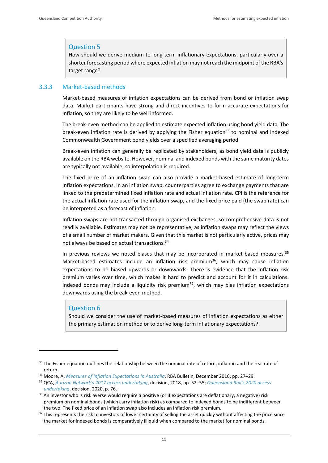### Question 5

How should we derive medium to long-term inflationary expectations, particularly over a shorter forecasting period where expected inflation may not reach the midpoint of the RBA's target range?

#### 3.3.3 Market-based methods

Market-based measures of inflation expectations can be derived from bond or inflation swap data. Market participants have strong and direct incentives to form accurate expectations for inflation, so they are likely to be well informed.

The break-even method can be applied to estimate expected inflation using bond yield data. The break-even inflation rate is derived by applying the Fisher equation<sup>33</sup> to nominal and indexed Commonwealth Government bond yields over a specified averaging period.

Break-even inflation can generally be replicated by stakeholders, as bond yield data is publicly available on the RBA website. However, nominal and indexed bonds with the same maturity dates are typically not available, so interpolation is required.

The fixed price of an inflation swap can also provide a market-based estimate of long-term inflation expectations. In an inflation swap, counterparties agree to exchange payments that are linked to the predetermined fixed inflation rate and actual inflation rate. CPI is the reference for the actual inflation rate used for the inflation swap, and the fixed price paid (the swap rate) can be interpreted as a forecast of inflation.

Inflation swaps are not transacted through organised exchanges, so comprehensive data is not readily available. Estimates may not be representative, as inflation swaps may reflect the views of a small number of market makers. Given that this market is not particularly active, prices may not always be based on actual transactions.<sup>34</sup>

In previous reviews we noted biases that may be incorporated in market-based measures. $35$ Market-based estimates include an inflation risk premium<sup>36</sup>, which may cause inflation expectations to be biased upwards or downwards. There is evidence that the inflation risk premium varies over time, which makes it hard to predict and account for it in calculations. Indexed bonds may include a liquidity risk premium<sup>37</sup>, which may bias inflation expectations downwards using the break-even method.

#### Question 6

Should we consider the use of market-based measures of inflation expectations as either the primary estimation method or to derive long-term inflationary expectations?

 $33$  The Fisher equation outlines the relationship between the nominal rate of return, inflation and the real rate of return.

<sup>34</sup> Moore, A, *[Measures of Inflation Expectations in Australia](https://www.rba.gov.au/publications/bulletin/2016/dec/pdf/rba-bulletin-2016-12-measures-of-inflation-expectations-in-australia.pdf)*, RBA Bulletin, December 2016, pp. 27–29.

<sup>35</sup> QCA, *[Aurizon Network's 2017 access undertaking](https://www.qca.org.au/wp-content/uploads/2019/05/34327_Final-decision-1.pdf)*, decision, 2018, pp. 52–55; *[Queensland Rail's 2020 access](https://www.qca.org.au/wp-content/uploads/2019/05/qca-qr-2020-dau-decision-and-secondary-undertaking-notice.pdf)  [undertaking](https://www.qca.org.au/wp-content/uploads/2019/05/qca-qr-2020-dau-decision-and-secondary-undertaking-notice.pdf)*, decision, 2020, p. 76.

<sup>&</sup>lt;sup>36</sup> An investor who is risk averse would require a positive (or if expectations are deflationary, a negative) risk premium on nominal bonds (which carry inflation risk) as compared to indexed bonds to be indifferent between the two. The fixed price of an inflation swap also includes an inflation risk premium.

<sup>&</sup>lt;sup>37</sup> This represents the risk to investors of lower certainty of selling the asset quickly without affecting the price since the market for indexed bonds is comparatively illiquid when compared to the market for nominal bonds.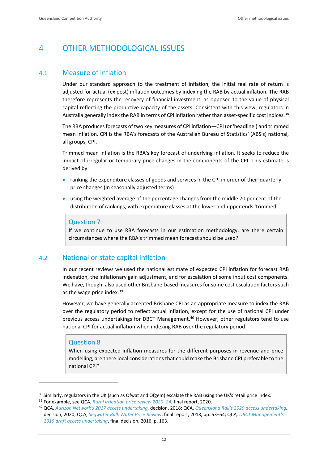# <span id="page-15-0"></span>4 OTHER METHODOLOGICAL ISSUES

## <span id="page-15-1"></span>4.1 Measure of inflation

Under our standard approach to the treatment of inflation, the initial real rate of return is adjusted for actual (ex post) inflation outcomes by indexing the RAB by actual inflation. The RAB therefore represents the recovery of financial investment, as opposed to the value of physical capital reflecting the productive capacity of the assets. Consistent with this view, regulators in Australia generally index the RAB in terms of CPI inflation rather than asset-specific cost indices.<sup>38</sup>

The RBA produces forecasts of two key measures of CPI inflation—CPI (or 'headline') and trimmed mean inflation. CPI is the RBA's forecasts of the Australian Bureau of Statistics' (ABS's) national, all groups, CPI.

Trimmed mean inflation is the RBA's key forecast of underlying inflation. It seeks to reduce the impact of irregular or temporary price changes in the components of the CPI. This estimate is derived by:

- ranking the expenditure classes of goods and services in the CPI in order of their quarterly price changes (in seasonally adjusted terms)
- using the weighted average of the percentage changes from the middle 70 per cent of the distribution of rankings, with expenditure classes at the lower and upper ends 'trimmed'.

#### Question 7

If we continue to use RBA forecasts in our estimation methodology, are there certain circumstances where the RBA's trimmed mean forecast should be used?

### <span id="page-15-2"></span>4.2 National or state capital inflation

In our recent reviews we used the national estimate of expected CPI inflation for forecast RAB indexation, the inflationary gain adjustment, and for escalation of some input cost components. We have, though, also used other Brisbane-based measures for some cost escalation factors such as the wage price index.<sup>39</sup>

However, we have generally accepted Brisbane CPI as an appropriate measure to index the RAB over the regulatory period to reflect actual inflation, except for the use of national CPI under previous access undertakings for DBCT Management.<sup>40</sup> However, other regulators tend to use national CPI for actual inflation when indexing RAB over the regulatory period.

### Question 8

When using expected inflation measures for the different purposes in revenue and price modelling, are there local considerations that could make the Brisbane CPI preferable to the national CPI?

<sup>&</sup>lt;sup>38</sup> Similarly, regulators in the UK (such as Ofwat and Ofgem) escalate the RAB using the UK's retail price index.

<sup>39</sup> For example, see QCA, *[Rural irrigation price review 2020](https://www.qca.org.au/project/rural-water/irrigation-price-investigations/)–24*, final report, 2020.

<sup>40</sup> QCA, *[Aurizon Network's 2017 access undertaking,](https://www.qca.org.au/wp-content/uploads/2019/05/34327_Final-decision-1.pdf)* decision, 2018; QCA, *[Queensland Rail's 2020 access undertaking,](https://www.qca.org.au/wp-content/uploads/2019/05/qca-qr-2020-dau-decision-and-secondary-undertaking-notice.pdf)* decision, 2020; QCA, *[Seqwater Bulk Water Price Review](https://www.qca.org.au/wp-content/uploads/2019/05/33446_Final-report-1.pdf)*, final report, 2018, pp. 53–54; QCA*[, DBCT Management's](https://www.qca.org.au/wp-content/uploads/2019/05/31145_DBCT2015DAUFINALDECISION-1.pdf)  [2015 draft access undertaking](https://www.qca.org.au/wp-content/uploads/2019/05/31145_DBCT2015DAUFINALDECISION-1.pdf)*, final decision, 2016, p. 163.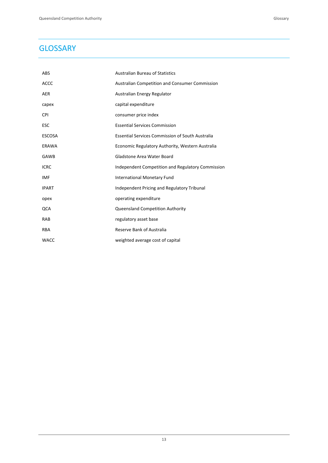# <span id="page-16-0"></span>**GLOSSARY**

| <b>ABS</b>    | <b>Australian Bureau of Statistics</b>                  |
|---------------|---------------------------------------------------------|
| <b>ACCC</b>   | <b>Australian Competition and Consumer Commission</b>   |
| <b>AER</b>    | Australian Energy Regulator                             |
| capex         | capital expenditure                                     |
| <b>CPI</b>    | consumer price index                                    |
| <b>ESC</b>    | <b>Essential Services Commission</b>                    |
| <b>ESCOSA</b> | <b>Essential Services Commission of South Australia</b> |
| <b>ERAWA</b>  | Economic Regulatory Authority, Western Australia        |
| <b>GAWB</b>   | Gladstone Area Water Board                              |
| <b>ICRC</b>   | Independent Competition and Regulatory Commission       |
| IMF           | <b>International Monetary Fund</b>                      |
| <b>IPART</b>  | Independent Pricing and Regulatory Tribunal             |
| opex          | operating expenditure                                   |
| QCA           | Queensland Competition Authority                        |
| RAB           | regulatory asset base                                   |
| <b>RBA</b>    | Reserve Bank of Australia                               |
| <b>WACC</b>   | weighted average cost of capital                        |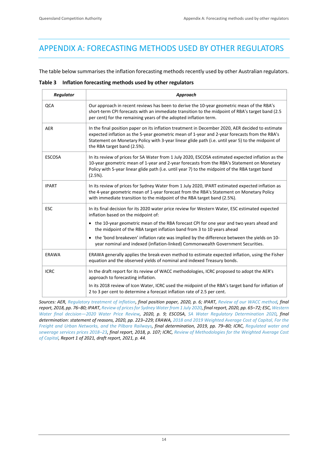# <span id="page-17-0"></span>APPENDIX A: FORECASTING METHODS USED BY OTHER REGULATORS

The table below summarises the inflation forecasting methods recently used by other Australian regulators.

|  |  | Table 3 Inflation forecasting methods used by other regulators |  |  |  |  |
|--|--|----------------------------------------------------------------|--|--|--|--|
|--|--|----------------------------------------------------------------|--|--|--|--|

| <b>Regulator</b> | Approach                                                                                                                                                                                                                                                                                                                              |
|------------------|---------------------------------------------------------------------------------------------------------------------------------------------------------------------------------------------------------------------------------------------------------------------------------------------------------------------------------------|
| QCA              | Our approach in recent reviews has been to derive the 10-year geometric mean of the RBA's<br>short-term CPI forecasts with an immediate transition to the midpoint of RBA's target band (2.5<br>per cent) for the remaining years of the adopted inflation term.                                                                      |
| <b>AER</b>       | In the final position paper on its inflation treatment in December 2020, AER decided to estimate<br>expected inflation as the 5-year geometric mean of 1-year and 2-year forecasts from the RBA's<br>Statement on Monetary Policy with 3-year linear glide path (i.e. until year 5) to the midpoint of<br>the RBA target band (2.5%). |
| <b>ESCOSA</b>    | In its review of prices for SA Water from 1 July 2020, ESCOSA estimated expected inflation as the<br>10-year geometric mean of 1-year and 2-year forecasts from the RBA's Statement on Monetary<br>Policy with 5-year linear glide path (i.e. until year 7) to the midpoint of the RBA target band<br>$(2.5\%).$                      |
| <b>IPART</b>     | In its review of prices for Sydney Water from 1 July 2020, IPART estimated expected inflation as<br>the 4-year geometric mean of 1-year forecast from the RBA's Statement on Monetary Policy<br>with immediate transition to the midpoint of the RBA target band (2.5%).                                                              |
| <b>ESC</b>       | In its final decision for its 2020 water price review for Western Water, ESC estimated expected<br>inflation based on the midpoint of:                                                                                                                                                                                                |
|                  | • the 10-year geometric mean of the RBA forecast CPI for one year and two years ahead and<br>the midpoint of the RBA target inflation band from 3 to 10 years ahead                                                                                                                                                                   |
|                  | the 'bond breakeven' inflation rate was implied by the difference between the yields on 10-<br>$\bullet$<br>year nominal and indexed (inflation-linked) Commonwealth Government Securities.                                                                                                                                           |
| ERAWA            | ERAWA generally applies the break-even method to estimate expected inflation, using the Fisher<br>equation and the observed yields of nominal and indexed Treasury bonds.                                                                                                                                                             |
| <b>ICRC</b>      | In the draft report for its review of WACC methodologies, ICRC proposed to adopt the AER's<br>approach to forecasting inflation.                                                                                                                                                                                                      |
|                  | In its 2018 review of Icon Water, ICRC used the midpoint of the RBA's target band for inflation of<br>2 to 3 per cent to determine a forecast inflation rate of 2.5 per cent.                                                                                                                                                         |

*Sources: AER, [Regulatory treatment of inflation,](https://www.aer.gov.au/system/files/AER%20-%20Final%20position%20paper%20-%20Regulatory%20treatment%20of%20inflation%20-%20December%202020.pdf) final position paper, 2020, p. 6; IPART, [Review of our WACC method,](https://www.ipart.nsw.gov.au/files/sharedassets/website/shared-files/investigation-administrative-legislative-requirements-sea-wacc-methodology-2017/final-report-review-of-our-wacc-method-february-2018.pdf) final report, 2018, pp. 76–80; IPART[, Review of prices for Sydney Water from 1 July 2020,](https://www.ipart.nsw.gov.au/files/sharedassets/website/shared-files/pricing-reviews-water-services-metro-water-prices-for-sydney-water-corporation-from-1-july-2020/legislative-requirements-prices-for-sydney-water-corporation-from-1-july-2020/final-report-review-of-prices-for-sydney-water-june-2020.pdf) final report, 2020, pp. 65–72; ESC[, Western](https://www.esc.vic.gov.au/sites/default/files/documents/FDP%20-%20Western%20Water%20final%20decision%202020%20price%20review%20June%202020.pdf)  Water final decision—[2020 Water Price Review,](https://www.esc.vic.gov.au/sites/default/files/documents/FDP%20-%20Western%20Water%20final%20decision%202020%20price%20review%20June%202020.pdf) 2020, p. 9; ESCOSA, [SA Water Regulatory Determination 2020,](https://www.escosa.sa.gov.au/ArticleDocuments/21489/20200611-Water-SAWRD20-FinalDetermination-StatementOfReasons.pdf.aspx?Embed=Y) final determination: statement of reasons, 2020, pp. 223–229; ERAWA, [2018 and 2019 Weighted Average Cost of Capital, For the](https://www.erawa.com.au/cproot/20655/2/2018-and-2019-Rail-WACC-Final-Determination.PDF)  [Freight and Urban Networks, and the Pilbara Railways,](https://www.erawa.com.au/cproot/20655/2/2018-and-2019-Rail-WACC-Final-Determination.PDF) final determination, 2019, pp. 79–80; ICRC, [Regulated water and](https://www.icrc.act.gov.au/__data/assets/pdf_file/0019/1250236/Report-1-of-2018-Final-Report-Water-Sewerage-Services-2018-23.pdf)  [sewerage services prices 2018](https://www.icrc.act.gov.au/__data/assets/pdf_file/0019/1250236/Report-1-of-2018-Final-Report-Water-Sewerage-Services-2018-23.pdf)–23, final report, 2018, p. 107; ICRC[, Review of Methodologies for the Weighted Average Cost](https://www.icrc.act.gov.au/__data/assets/pdf_file/0007/1697839/WACC-draft-report-main-document-FINAL.pdf)  [of Capital,](https://www.icrc.act.gov.au/__data/assets/pdf_file/0007/1697839/WACC-draft-report-main-document-FINAL.pdf) Report 1 of 2021, draft report, 2021, p. 44.*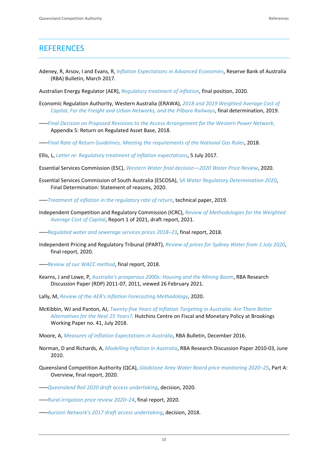# <span id="page-18-0"></span>**REFERENCES**

- Adeney, R, Arsov, I and Evans, R, *[Inflation Expectations in Advanced Economies](https://www.rba.gov.au/publications/bulletin/2017/mar/pdf/bu-0317-4-inflation-expectations-in-advanced-economies.pdf)*, Reserve Bank of Australia (RBA) Bulletin, March 2017.
- Australian Energy Regulator (AER), *[Regulatory treatment of inflation](https://www.aer.gov.au/system/files/AER%20-%20Final%20position%20paper%20-%20Regulatory%20treatment%20of%20inflation%20-%20December%202020.pdf)*, final position, 2020.
- Economic Regulation Authority, Western Australia (ERAWA), *[2018 and 2019 Weighted Average Cost of](https://www.erawa.com.au/cproot/20655/2/2018-and-2019-Rail-WACC-Final-Determination.PDF)  [Capital, For the Freight and Urban Networks, and the Pilbara Railways](https://www.erawa.com.au/cproot/20655/2/2018-and-2019-Rail-WACC-Final-Determination.PDF)*, final determination, 2019.
- –––*[Final Decision on Proposed Revisions to the Access Arrangement for the Western Power Network](https://www.erawa.com.au/cproot/19491/2/WP%20AA4%20Final%20Decision%20Appendix%205%20-%20Return%20on%20Regulated%20Capital%20Base.PDF)*, Appendix 5: Return on Regulated Asset Base, 2018.
- –––*[Final Rate of Return Guidelines, Meeting the requirements of the National Gas Rules](https://www.erawa.com.au/cproot/19968/2/2018%20Final%20Gas%20Rate%20of%20Return%20Guidelines.PDF)*, 2018.
- Ellis, L, *[Letter re: Regulatory treatment of inflation expectations](https://www.aer.gov.au/system/files/Letter%20from%20the%20RBA%20to%20AER%20-%2025%20July%202017.pdf)*, 5 July 2017.

Essential Services Commission (ESC), *[Western Water final decision](https://www.esc.vic.gov.au/sites/default/files/documents/FDP%20-%20Western%20Water%20final%20decision%202020%20price%20review%20June%202020.pdf)—2020 Water Price Review*, 2020.

- Essential Services Commission of South Australia (ESCOSA), S*[A Water Regulatory Determination 2020](https://www.escosa.sa.gov.au/ArticleDocuments/21489/20200611-Water-SAWRD20-FinalDetermination-StatementOfReasons.pdf.aspx?Embed=Y)*, Final Determination: Statement of reasons, 2020.
- –––*[Treatment of inflation in the regulatory rate of return](https://www.escosa.sa.gov.au/ArticleDocuments/11293/20190606-SAWRD20-GuidancePaper6-InflationForecastingMethodology.pdf.aspx?Embed=Y)*, technical paper, 2019.
- Independent Competition and Regulatory Commission (ICRC), *[Review of Methodologies for the Weighted](https://www.icrc.act.gov.au/__data/assets/pdf_file/0007/1697839/WACC-draft-report-main-document-FINAL.pdf)  [Average Cost of Capital](https://www.icrc.act.gov.au/__data/assets/pdf_file/0007/1697839/WACC-draft-report-main-document-FINAL.pdf)*, Report 1 of 2021, draft report, 2021.
- –––*[Regulated water and sewerage services prices 2018](https://www.icrc.act.gov.au/__data/assets/pdf_file/0019/1250236/Report-1-of-2018-Final-Report-Water-Sewerage-Services-2018-23.pdf)–23*, final report, 2018.
- Independent Pricing and Regulatory Tribunal (IPART), *[Review of prices for Sydney Water from 1 July 2020](https://www.ipart.nsw.gov.au/files/sharedassets/website/shared-files/pricing-reviews-water-services-metro-water-prices-for-sydney-water-corporation-from-1-july-2020/legislative-requirements-prices-for-sydney-water-corporation-from-1-july-2020/final-report-review-of-prices-for-sydney-water-june-2020.pdf)*, final report, 2020.
- –––*[Review of our WACC method](https://www.ipart.nsw.gov.au/files/sharedassets/website/shared-files/investigation-administrative-legislative-requirements-sea-wacc-methodology-2017/final-report-review-of-our-wacc-method-february-2018.pdf)*, final report, 2018.
- Kearns, J and Lowe, P, *[Australia's prosperous 2000s: Housing and the Mini](https://www.rba.gov.au/publications/confs/2011/pdf/kearns-lowe.pdf)ng Boom*, RBA Research Discussion Paper (RDP) 2011-07, 2011, viewed 26 February 2021.
- Lally, M, *[Review of the AER's Inflation Forecasting Methodology](https://www.aer.gov.au/system/files/Dr%20Martin%20Lally%20-%20Review%20of%20the%20AERs%20inflation%20forecasting%20methodology%20-%208%20July%202020.pdf)*, 2020.
- McKibbin, WJ and Panton, AJ, *[Twenty-five Years of Inflation Targeting in Australia: Are There Better](https://www.brookings.edu/wp-content/uploads/2018/07/WP41.pdf)  [Alternatives for the Next 25 Years?,](https://www.brookings.edu/wp-content/uploads/2018/07/WP41.pdf)* Hutchins Centre on Fiscal and Monetary Policy at Brookings Working Paper no. 41, July 2018.
- Moore, A, *[Measures of Inflation Expectations in Australia](https://www.rba.gov.au/publications/bulletin/2016/dec/pdf/rba-bulletin-2016-12-measures-of-inflation-expectations-in-australia.pdf)*, RBA Bulletin, December 2016.
- Norman, D and Richards, A, *[Modelling inflation in Australia](https://www.rba.gov.au/publications/rdp/2010/pdf/rdp2010-03.pdf)*, RBA Research Discussion Paper 2010-03, June 2010.
- Queensland Competition Authority (QCA), *[Gladstone Area Water Board price monitoring 2020](https://www.qca.org.au/wp-content/uploads/2020/06/part-a-overview-final.pdf)–25*, Part A: Overview, final report, 2020.
- –––*[Queensland Rail 2020 draft access undertaking](https://www.qca.org.au/wp-content/uploads/2019/05/qca-qr-2020-dau-decision-and-secondary-undertaking-notice.pdf)*, decision, 2020.
- –––*[Rural irrigation price review 2020](https://www.qca.org.au/project/rural-water/irrigation-price-investigations/)–24*, final report, 2020.
- –––*[Aurizon Network's 2017 draft access undertaking](https://www.qca.org.au/wp-content/uploads/2019/05/34327_Final-decision-1.pdf)*, decision, 2018.